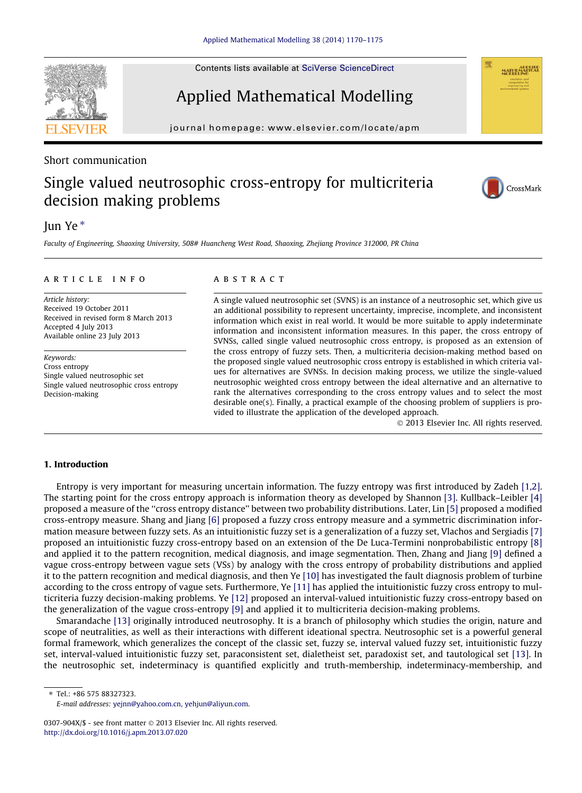Contents lists available at [SciVerse ScienceDirect](http://www.sciencedirect.com/science/journal/0307904X)

# Applied Mathematical Modelling

journal homepage: [www.elsevier.com/locate/apm](http://www.elsevier.com/locate/apm)

## Short communication

# Single valued neutrosophic cross-entropy for multicriteria decision making problems

# Jun Ye<sup>\*</sup>

Faculty of Engineering, Shaoxing University, 508# Huancheng West Road, Shaoxing, Zhejiang Province 312000, PR China

#### article info

Article history: Received 19 October 2011 Received in revised form 8 March 2013 Accepted 4 July 2013 Available online 23 July 2013

Keywords: Cross entropy Single valued neutrosophic set Single valued neutrosophic cross entropy Decision-making

#### **ABSTRACT**

A single valued neutrosophic set (SVNS) is an instance of a neutrosophic set, which give us an additional possibility to represent uncertainty, imprecise, incomplete, and inconsistent information which exist in real world. It would be more suitable to apply indeterminate information and inconsistent information measures. In this paper, the cross entropy of SVNSs, called single valued neutrosophic cross entropy, is proposed as an extension of the cross entropy of fuzzy sets. Then, a multicriteria decision-making method based on the proposed single valued neutrosophic cross entropy is established in which criteria values for alternatives are SVNSs. In decision making process, we utilize the single-valued neutrosophic weighted cross entropy between the ideal alternative and an alternative to rank the alternatives corresponding to the cross entropy values and to select the most desirable one(s). Finally, a practical example of the choosing problem of suppliers is provided to illustrate the application of the developed approach.

- 2013 Elsevier Inc. All rights reserved.

## 1. Introduction

Entropy is very important for measuring uncertain information. The fuzzy entropy was first introduced by Zadeh [\[1,2\]](#page-5-0). The starting point for the cross entropy approach is information theory as developed by Shannon [\[3\]](#page-5-0). Kullback–Leibler [\[4\]](#page-5-0) proposed a measure of the ''cross entropy distance'' between two probability distributions. Later, Lin [\[5\]](#page-5-0) proposed a modified cross-entropy measure. Shang and Jiang [\[6\]](#page-5-0) proposed a fuzzy cross entropy measure and a symmetric discrimination information measure between fuzzy sets. As an intuitionistic fuzzy set is a generalization of a fuzzy set, Vlachos and Sergiadis [\[7\]](#page-5-0) proposed an intuitionistic fuzzy cross-entropy based on an extension of the De Luca-Termini nonprobabilistic entropy [\[8\]](#page-5-0) and applied it to the pattern recognition, medical diagnosis, and image segmentation. Then, Zhang and Jiang [\[9\]](#page-5-0) defined a vague cross-entropy between vague sets (VSs) by analogy with the cross entropy of probability distributions and applied it to the pattern recognition and medical diagnosis, and then Ye [\[10\]](#page-5-0) has investigated the fault diagnosis problem of turbine according to the cross entropy of vague sets. Furthermore, Ye [\[11\]](#page-5-0) has applied the intuitionistic fuzzy cross entropy to multicriteria fuzzy decision-making problems. Ye [\[12\]](#page-5-0) proposed an interval-valued intuitionistic fuzzy cross-entropy based on the generalization of the vague cross-entropy [\[9\]](#page-5-0) and applied it to multicriteria decision-making problems.

Smarandache [\[13\]](#page-5-0) originally introduced neutrosophy. It is a branch of philosophy which studies the origin, nature and scope of neutralities, as well as their interactions with different ideational spectra. Neutrosophic set is a powerful general formal framework, which generalizes the concept of the classic set, fuzzy se, interval valued fuzzy set, intuitionistic fuzzy set, interval-valued intuitionistic fuzzy set, paraconsistent set, dialetheist set, paradoxist set, and tautological set [\[13\].](#page-5-0) In the neutrosophic set, indeterminacy is quantified explicitly and truth-membership, indeterminacy-membership, and

⇑ Tel.: +86 575 88327323. E-mail addresses: [yejnn@yahoo.com.cn](mailto:yejnn@yahoo.com.cn), [yehjun@aliyun.com](mailto:yehjun@aliyun.com).





<sup>0307-904</sup>X/\$ - see front matter © 2013 Elsevier Inc. All rights reserved. <http://dx.doi.org/10.1016/j.apm.2013.07.020>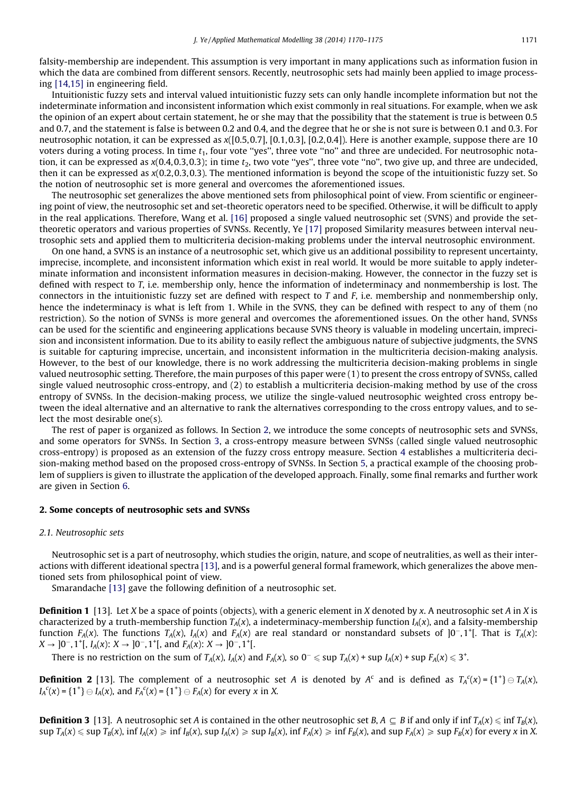falsity-membership are independent. This assumption is very important in many applications such as information fusion in which the data are combined from different sensors. Recently, neutrosophic sets had mainly been applied to image processing [\[14,15\]](#page-5-0) in engineering field.

Intuitionistic fuzzy sets and interval valued intuitionistic fuzzy sets can only handle incomplete information but not the indeterminate information and inconsistent information which exist commonly in real situations. For example, when we ask the opinion of an expert about certain statement, he or she may that the possibility that the statement is true is between 0.5 and 0.7, and the statement is false is between 0.2 and 0.4, and the degree that he or she is not sure is between 0.1 and 0.3. For neutrosophic notation, it can be expressed as x([0.5, 0.7], [0.1, 0.3], [0.2,0.4]). Here is another example, suppose there are 10 voters during a voting process. In time  $t_1$ , four vote "yes", three vote "no" and three are undecided. For neutrosophic notation, it can be expressed as  $x(0.4, 0.3, 0.3)$ ; in time  $t_2$ , two vote "yes", three vote "no", two give up, and three are undecided, then it can be expressed as x(0.2, 0.3, 0.3). The mentioned information is beyond the scope of the intuitionistic fuzzy set. So the notion of neutrosophic set is more general and overcomes the aforementioned issues.

The neutrosophic set generalizes the above mentioned sets from philosophical point of view. From scientific or engineering point of view, the neutrosophic set and set-theoretic operators need to be specified. Otherwise, it will be difficult to apply in the real applications. Therefore, Wang et al. [\[16\]](#page-5-0) proposed a single valued neutrosophic set (SVNS) and provide the settheoretic operators and various properties of SVNSs. Recently, Ye [\[17\]](#page-5-0) proposed Similarity measures between interval neutrosophic sets and applied them to multicriteria decision-making problems under the interval neutrosophic environment.

On one hand, a SVNS is an instance of a neutrosophic set, which give us an additional possibility to represent uncertainty, imprecise, incomplete, and inconsistent information which exist in real world. It would be more suitable to apply indeterminate information and inconsistent information measures in decision-making. However, the connector in the fuzzy set is defined with respect to  $T$ , i.e. membership only, hence the information of indeterminacy and nonmembership is lost. The connectors in the intuitionistic fuzzy set are defined with respect to  $T$  and  $F$ , i.e. membership and nonmembership only, hence the indeterminacy is what is left from 1. While in the SVNS, they can be defined with respect to any of them (no restriction). So the notion of SVNSs is more general and overcomes the aforementioned issues. On the other hand, SVNSs can be used for the scientific and engineering applications because SVNS theory is valuable in modeling uncertain, imprecision and inconsistent information. Due to its ability to easily reflect the ambiguous nature of subjective judgments, the SVNS is suitable for capturing imprecise, uncertain, and inconsistent information in the multicriteria decision-making analysis. However, to the best of our knowledge, there is no work addressing the multicriteria decision-making problems in single valued neutrosophic setting. Therefore, the main purposes of this paper were (1) to present the cross entropy of SVNSs, called single valued neutrosophic cross-entropy, and (2) to establish a multicriteria decision-making method by use of the cross entropy of SVNSs. In the decision-making process, we utilize the single-valued neutrosophic weighted cross entropy between the ideal alternative and an alternative to rank the alternatives corresponding to the cross entropy values, and to select the most desirable one(s).

The rest of paper is organized as follows. In Section 2, we introduce the some concepts of neutrosophic sets and SVNSs, and some operators for SVNSs. In Section [3](#page-2-0), a cross-entropy measure between SVNSs (called single valued neutrosophic cross-entropy) is proposed as an extension of the fuzzy cross entropy measure. Section [4](#page-3-0) establishes a multicriteria decision-making method based on the proposed cross-entropy of SVNSs. In Section [5](#page-4-0), a practical example of the choosing problem of suppliers is given to illustrate the application of the developed approach. Finally, some final remarks and further work are given in Section [6](#page-4-0).

#### 2. Some concepts of neutrosophic sets and SVNSs

#### 2.1. Neutrosophic sets

Neutrosophic set is a part of neutrosophy, which studies the origin, nature, and scope of neutralities, as well as their interactions with different ideational spectra [\[13\],](#page-5-0) and is a powerful general formal framework, which generalizes the above mentioned sets from philosophical point of view.

Smarandache [\[13\]](#page-5-0) gave the following definition of a neutrosophic set.

**Definition 1** [13]. Let X be a space of points (objects), with a generic element in X denoted by x. A neutrosophic set A in X is characterized by a truth-membership function  $T_A(x)$ , a indeterminacy-membership function  $I_A(x)$ , and a falsity-membership function  $F_A(x)$ . The functions  $T_A(x)$ ,  $I_A(x)$  and  $F_A(x)$  are real standard or nonstandard subsets of  $]0^-, 1^+]$ . That is  $T_A(x)$ :  $X \to [0^-, 1^+]$ ,  $I_A(x)$ :  $X \to [0^-, 1^+]$ , and  $F_A(x)$ :  $X \to [0^-, 1^+]$ .

There is no restriction on the sum of  $T_A(x)$ ,  $I_A(x)$  and  $F_A(x)$ , so  $0^- \leqslant \sup T_A(x) + \sup I_A(x) + \sup F_A(x) \leqslant 3^+$ .

**Definition 2** [13]. The complement of a neutrosophic set A is denoted by  $A^c$  and is defined as  $T_A^c(x) = \{1^+\} \ominus T_A(x)$ ,  $I_A^c(x) = \{1^+\} \oplus I_A(x)$ , and  $F_A^c(x) = \{1^+\} \oplus F_A(x)$  for every x in X.

**Definition 3** [13]. A neutrosophic set A is contained in the other neutrosophic set B,  $A \subset B$  if and only if inf  $T_A(x) \le \inf T_B(x)$ ,  $\sup T_A(x) \leq \sup T_B(x)$ ,  $\inf I_A(x) \geq \inf I_B(x)$ ,  $\sup I_A(x) \geq \sup I_B(x)$ ,  $\inf F_A(x) \geq \inf F_B(x)$ , and  $\sup F_A(x) \geq \sup F_B(x)$  for every x in X.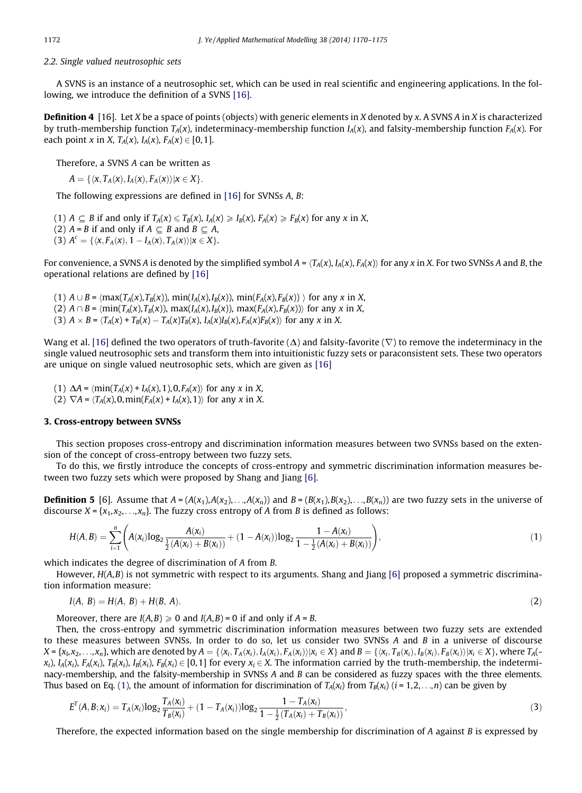#### <span id="page-2-0"></span>2.2. Single valued neutrosophic sets

A SVNS is an instance of a neutrosophic set, which can be used in real scientific and engineering applications. In the following, we introduce the definition of a SVNS [\[16\].](#page-5-0)

**Definition 4** [16]. Let X be a space of points (objects) with generic elements in X denoted by x. A SVNS A in X is characterized by truth-membership function  $T_A(x)$ , indeterminacy-membership function  $I_A(x)$ , and falsity-membership function  $F_A(x)$ . For each point x in X,  $T_A(x)$ ,  $I_A(x)$ ,  $F_A(x) \in [0,1]$ .

Therefore, a SVNS A can be written as

 $A = \{ \langle x, T_A(x), I_A(x), F_A(x) \rangle | x \in X \}.$ 

The following expressions are defined in [\[16\]](#page-5-0) for SVNSs A, B:

(1)  $A \subseteq B$  if and only if  $T_A(x) \le T_B(x)$ ,  $I_A(x) \ge I_B(x)$ ,  $F_A(x) \ge F_B(x)$  for any x in X, (2)  $A = B$  if and only if  $A \subset B$  and  $B \subset A$ , (3)  $A^c = \{ \langle x, F_A(x), 1 - I_A(x), T_A(x) \rangle | x \in X \}.$ 

For convenience, a SVNS A is denoted by the simplified symbol  $A = \langle T_A(x), I_A(x), F_A(x) \rangle$  for any x in X. For two SVNSs A and B, the operational relations are defined by [\[16\]](#page-5-0)

(1)  $A \cup B = \langle max(T_A(x),T_B(x)), min(I_A(x),I_B(x)), min(F_A(x),F_B(x)) \rangle$  for any x in X, (2)  $A \cap B$  =  $\langle \min(T_A(x),T_B(x)), \max(I_A(x),I_B(x)), \max(F_A(x),F_B(x))\rangle$  for any x in X, (3)  $A \times B = \langle T_A(x) + T_B(x) - T_A(x)T_B(x), I_A(x)I_B(x), F_A(x)F_B(x)\rangle$  for any x in X.

Wang et al. [\[16\]](#page-5-0) defined the two operators of truth-favorite ( $\Delta$ ) and falsity-favorite ( $\nabla$ ) to remove the indeterminacy in the single valued neutrosophic sets and transform them into intuitionistic fuzzy sets or paraconsistent sets. These two operators are unique on single valued neutrosophic sets, which are given as [\[16\]](#page-5-0)

- (1)  $\Delta A = \langle \min(T_A(x) + I_A(x), 1), 0, F_A(x)\rangle$  for any x in X,
- (2)  $\nabla A = \langle T_A(x), 0, \min(F_A(x) + I_A(x),1) \rangle$  for any x in X.

#### 3. Cross-entropy between SVNSs

This section proposes cross-entropy and discrimination information measures between two SVNSs based on the extension of the concept of cross-entropy between two fuzzy sets.

To do this, we firstly introduce the concepts of cross-entropy and symmetric discrimination information measures between two fuzzy sets which were proposed by Shang and Jiang [\[6\].](#page-5-0)

**Definition 5** [6]. Assume that  $A = (A(x_1),A(x_2),\ldots,A(x_n))$  and  $B = (B(x_1),B(x_2),\ldots,B(x_n))$  are two fuzzy sets in the universe of discourse  $X = \{x_1, x_2, \ldots, x_n\}$ . The fuzzy cross entropy of A from B is defined as follows:

$$
H(A,B) = \sum_{i=1}^{n} \left( A(x_i) \log_2 \frac{A(x_i)}{\frac{1}{2}(A(x_i) + B(x_i))} + (1 - A(x_i)) \log_2 \frac{1 - A(x_i)}{1 - \frac{1}{2}(A(x_i) + B(x_i))} \right),\tag{1}
$$

which indicates the degree of discrimination of A from B.

However, H(A,B) is not symmetric with respect to its arguments. Shang and Jiang [\[6\]](#page-5-0) proposed a symmetric discrimination information measure:

$$
I(A, B) = H(A, B) + H(B, A). \tag{2}
$$

Moreover, there are  $I(A, B) \ge 0$  and  $I(A, B) = 0$  if and only if  $A = B$ .

Then, the cross-entropy and symmetric discrimination information measures between two fuzzy sets are extended to these measures between SVNSs. In order to do so, let us consider two SVNSs  $A$  and  $B$  in a universe of discourse  $X = \{x_1, x_2, \ldots, x_n\}$ , which are denoted by  $A = \{\langle x_i, T_A(x_i), I_A(x_i), F_A(x_i)\rangle | x_i \in X\}$  and  $B = \{\langle x_i, T_B(x_i), I_B(x_i), F_B(x_i)\rangle | x_i \in X\}$ , where  $T_A(-1)$  $x_i$ ),  $I_A(x_i)$ ,  $F_A(x_i)$ ,  $T_B(x_i)$ ,  $I_B(x_i)$ ,  $F_B(x_i) \in [0,1]$  for every  $x_i \in X$ . The information carried by the truth-membership, the indeterminacy-membership, and the falsity-membership in SVNSs A and B can be considered as fuzzy spaces with the three elements. Thus based on Eq. (1), the amount of information for discrimination of  $T_A(x_i)$  from  $T_B(x_i)$  (i=1,2,...,n) can be given by

$$
E^{T}(A,B;x_i) = T_A(x_i) \log_2 \frac{T_A(x_i)}{T_B(x_i)} + (1 - T_A(x_i)) \log_2 \frac{1 - T_A(x_i)}{1 - \frac{1}{2}(T_A(x_i) + T_B(x_i))},
$$
\n(3)

Therefore, the expected information based on the single membership for discrimination of A against B is expressed by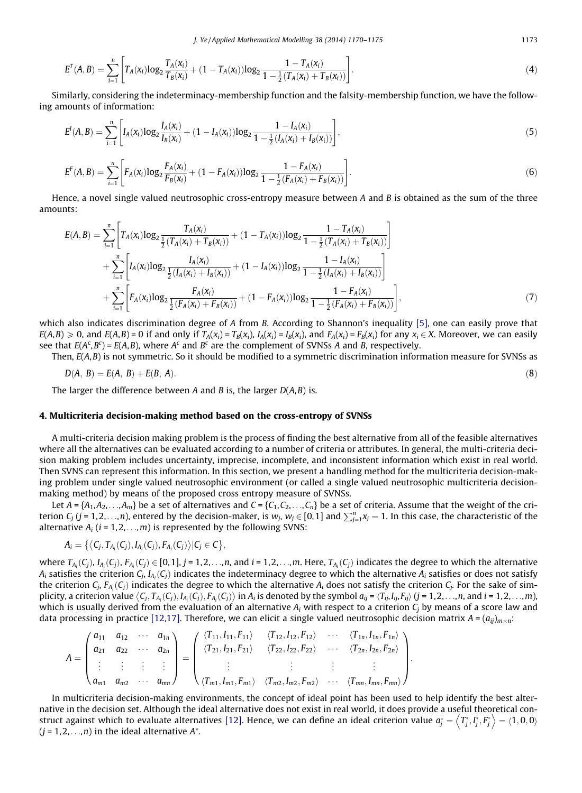J. Ye / Applied Mathematical Modelling 38 (2014) 1170–1175 1173

<span id="page-3-0"></span>
$$
E^{T}(A,B) = \sum_{i=1}^{n} \left[ T_A(x_i) \log_2 \frac{T_A(x_i)}{T_B(x_i)} + (1 - T_A(x_i)) \log_2 \frac{1 - T_A(x_i)}{1 - \frac{1}{2} (T_A(x_i) + T_B(x_i))} \right].
$$
 (4)

Similarly, considering the indeterminacy-membership function and the falsity-membership function, we have the following amounts of information:

$$
E^{I}(A,B) = \sum_{i=1}^{n} \left[ I_{A}(x_{i}) \log_{2} \frac{I_{A}(x_{i})}{I_{B}(x_{i})} + (1 - I_{A}(x_{i})) \log_{2} \frac{1 - I_{A}(x_{i})}{1 - \frac{1}{2}(I_{A}(x_{i}) + I_{B}(x_{i}))} \right],
$$
\n(5)

$$
E^{F}(A,B) = \sum_{i=1}^{n} \left[ F_A(x_i) \log_2 \frac{F_A(x_i)}{F_B(x_i)} + (1 - F_A(x_i)) \log_2 \frac{1 - F_A(x_i)}{1 - \frac{1}{2} (F_A(x_i) + F_B(x_i))} \right].
$$
 (6)

Hence, a novel single valued neutrosophic cross-entropy measure between A and B is obtained as the sum of the three amounts:

$$
E(A,B) = \sum_{i=1}^{n} \left[ T_A(x_i) \log_2 \frac{T_A(x_i)}{\frac{1}{2} (T_A(x_i) + T_B(x_i))} + (1 - T_A(x_i)) \log_2 \frac{1 - T_A(x_i)}{1 - \frac{1}{2} (T_A(x_i) + T_B(x_i))} \right]
$$
  
+ 
$$
\sum_{i=1}^{n} \left[ I_A(x_i) \log_2 \frac{I_A(x_i)}{\frac{1}{2} (I_A(x_i) + I_B(x_i))} + (1 - I_A(x_i)) \log_2 \frac{1 - I_A(x_i)}{1 - \frac{1}{2} (I_A(x_i) + I_B(x_i))} \right]
$$
  
+ 
$$
\sum_{i=1}^{n} \left[ F_A(x_i) \log_2 \frac{F_A(x_i)}{\frac{1}{2} (F_A(x_i) + F_B(x_i))} + (1 - F_A(x_i)) \log_2 \frac{1 - F_A(x_i)}{1 - \frac{1}{2} (F_A(x_i) + F_B(x_i))} \right],
$$
(7)

which also indicates discrimination degree of A from B. According to Shannon's inequality [\[5\]](#page-5-0), one can easily prove that  $E(A,B) \ge 0$ , and  $E(A,B) = 0$  if and only if  $T_A(x_i) = T_B(x_i)$ ,  $I_A(x_i) = I_B(x_i)$ , and  $F_A(x_i) = F_B(x_i)$  for any  $x_i \in X$ . Moreover, we can easily see that  $E(A^c, B^c) = E(A, B)$ , where  $A^c$  and  $B^c$  are the complement of SVNSs A and B, respectively.

Then,  $E(A, B)$  is not symmetric. So it should be modified to a symmetric discrimination information measure for SVNSs as

$$
D(A, B) = E(A, B) + E(B, A). \tag{8}
$$

The larger the difference between A and B is, the larger  $D(A, B)$  is.

#### 4. Multicriteria decision-making method based on the cross-entropy of SVNSs

A multi-criteria decision making problem is the process of finding the best alternative from all of the feasible alternatives where all the alternatives can be evaluated according to a number of criteria or attributes. In general, the multi-criteria decision making problem includes uncertainty, imprecise, incomplete, and inconsistent information which exist in real world. Then SVNS can represent this information. In this section, we present a handling method for the multicriteria decision-making problem under single valued neutrosophic environment (or called a single valued neutrosophic multicriteria decisionmaking method) by means of the proposed cross entropy measure of SVNSs.

Let  $A = \{A_1, A_2, \ldots, A_m\}$  be a set of alternatives and  $C = \{C_1, C_2, \ldots, C_n\}$  be a set of criteria. Assume that the weight of the criterion  $C_j$  (j = 1,2,...,n), entered by the decision-maker, is  $w_j$ ,  $w_j \in [0,1]$  and  $\sum_{j=1}^n x_j = 1$ . In this case, the characteristic of the alternative  $A_i$  ( $i = 1, 2, \ldots, m$ ) is represented by the following SVNS:

$$
A_i = \left\{ \left\langle C_j, T_{A_i}(C_j), I_{A_i}(C_j), F_{A_i}(C_j) \right\rangle | C_j \in C \right\},\
$$

where  $T_{A_i}(C_j)$ ,  $I_{A_i}(C_j)$ ,  $F_{A_i}(C_j) \in [0,1]$ ,  $j = 1,2,\ldots,n$ , and  $i = 1,2,\ldots,m$ . Here,  $T_{A_i}(C_j)$  indicates the degree to which the alternative  $A_i$  satisfies the criterion  $C_j$ ,  $I_{A_i}(C_j)$  indicates the indeterminacy degree to which the alternative  $A_i$  satisfies or does not satisfy the criterion  $\zeta_j$ ,  $F_{A_i}(C_j)$  indicates the degree to which the alternative  $A_i$  does not satisfy the criterion  $\zeta_j$ . For the sake of simplicity, a criterion value  $\langle C_j, T_{A_i}(C_j), I_{A_i}(C_j), F_{A_i}(C_j) \rangle$  in  $A_i$  is denoted by the symbol  $a_{ij} = \langle T_{ij}, I_{ij}, F_{ij} \rangle$   $(j = 1, 2, ..., n$ , and  $i = 1, 2, ..., n$ ), which is usually derived from the evaluation of an alternative  $A_i$  with respect to a criterion  $C_i$  by means of a score law and data processing in practice [\[12,17\]](#page-5-0). Therefore, we can elicit a single valued neutrosophic decision matrix  $A = (a_{ij})_{m \times n}$ :

$$
A = \begin{pmatrix} a_{11} & a_{12} & \cdots & a_{1n} \\ a_{21} & a_{22} & \cdots & a_{2n} \\ \vdots & \vdots & \vdots & \vdots \\ a_{m1} & a_{m2} & \cdots & a_{mn} \end{pmatrix} = \begin{pmatrix} \langle T_{11}, I_{11}, F_{11} \rangle & \langle T_{12}, I_{12}, F_{12} \rangle & \cdots & \langle T_{1n}, I_{1n}, F_{1n} \rangle \\ \langle T_{21}, I_{21}, F_{21} \rangle & \langle T_{22}, I_{22}, F_{22} \rangle & \cdots & \langle T_{2n}, I_{2n}, F_{2n} \rangle \\ \vdots & \vdots & \vdots & \vdots \\ \langle T_{m1}, I_{m1}, F_{m1} \rangle & \langle T_{m2}, I_{m2}, F_{m2} \rangle & \cdots & \langle T_{mn}, I_{mn}, F_{mn} \rangle \end{pmatrix}.
$$

In multicriteria decision-making environments, the concept of ideal point has been used to help identify the best alternative in the decision set. Although the ideal alternative does not exist in real world, it does provide a useful theoretical con-struct against which to evaluate alternatives [\[12\]](#page-5-0). Hence, we can define an ideal criterion value  $a_j^* = \langle T_j^*, I_j^*, F_j^* \rangle = \langle 1, 0, 0 \rangle$  $(j = 1, 2, \ldots, n)$  in the ideal alternative  $A^*$ .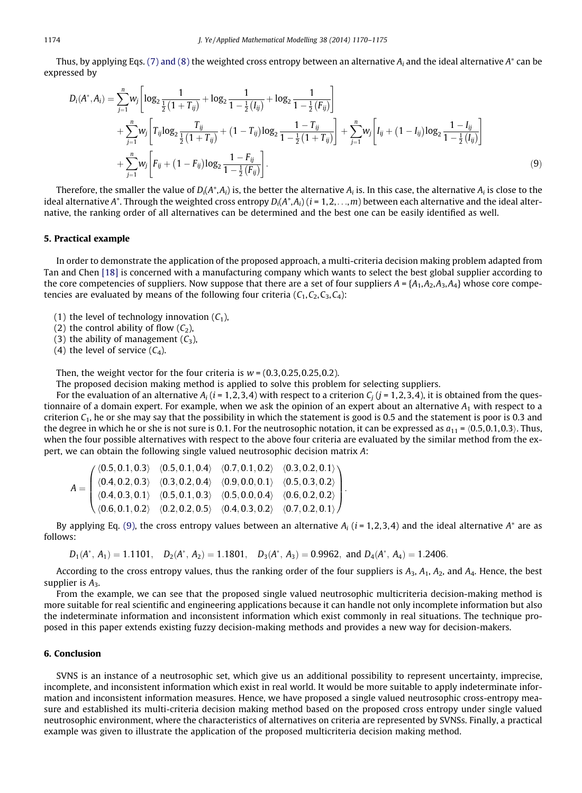<span id="page-4-0"></span>Thus, by applying Eqs. [\(7\) and \(8\)](#page-3-0) the weighted cross entropy between an alternative  $A_i$  and the ideal alternative  $A^*$  can be expressed by

$$
D_i(A^*, A_i) = \sum_{j=1}^n w_j \left[ \log_2 \frac{1}{\frac{1}{2} (1 + T_{ij})} + \log_2 \frac{1}{1 - \frac{1}{2} (I_{ij})} + \log_2 \frac{1}{1 - \frac{1}{2} (F_{ij})} \right] + \sum_{j=1}^n w_j \left[ T_{ij} \log_2 \frac{T_{ij}}{\frac{1}{2} (1 + T_{ij})} + (1 - T_{ij}) \log_2 \frac{1 - T_{ij}}{1 - \frac{1}{2} (1 + T_{ij})} \right] + \sum_{j=1}^n w_j \left[ I_{ij} + (1 - I_{ij}) \log_2 \frac{1 - I_{ij}}{1 - \frac{1}{2} (I_{ij})} \right] + \sum_{j=1}^n w_j \left[ F_{ij} + (1 - F_{ij}) \log_2 \frac{1 - F_{ij}}{1 - \frac{1}{2} (F_{ij})} \right].
$$
\n(9)

Therefore, the smaller the value of  $D_i(A^*,A_i)$  is, the better the alternative  $A_i$  is. In this case, the alternative  $A_i$  is close to the ideal alternative A\*. Through the weighted cross entropy  $D_i(A^*,A_i)$  (i = 1,2,...,m) between each alternative and the ideal alternative, the ranking order of all alternatives can be determined and the best one can be easily identified as well.

#### 5. Practical example

In order to demonstrate the application of the proposed approach, a multi-criteria decision making problem adapted from Tan and Chen [\[18\]](#page-5-0) is concerned with a manufacturing company which wants to select the best global supplier according to the core competencies of suppliers. Now suppose that there are a set of four suppliers  $A = \{A_1, A_2, A_3, A_4\}$  whose core competencies are evaluated by means of the following four criteria  $(C_1, C_2, C_3, C_4)$ :

- (1) the level of technology innovation  $(C_1)$ ,
- (2) the control ability of flow  $(C_2)$ ,
- (3) the ability of management  $(C_3)$ ,
- (4) the level of service  $(C_4)$ .

Then, the weight vector for the four criteria is  $w = (0.3, 0.25, 0.25, 0.2)$ .

The proposed decision making method is applied to solve this problem for selecting suppliers.

For the evaluation of an alternative  $A_i$  ( $i = 1,2,3,4$ ) with respect to a criterion  $C_i$  ( $j = 1,2,3,4$ ), it is obtained from the questionnaire of a domain expert. For example, when we ask the opinion of an expert about an alternative  $A_1$  with respect to a criterion  $C_1$ , he or she may say that the possibility in which the statement is good is 0.5 and the statement is poor is 0.3 and the degree in which he or she is not sure is 0.1. For the neutrosophic notation, it can be expressed as  $a_{11} = (0.5, 0.1, 0.3)$ . Thus, when the four possible alternatives with respect to the above four criteria are evaluated by the similar method from the expert, we can obtain the following single valued neutrosophic decision matrix A:

| $A = \left( \begin{matrix} \langle 0.5, 0.1, 0.3 \rangle & \langle 0.5, 0.1, 0.4 \rangle & \langle 0.7, 0.1, 0.2 \rangle & \langle 0.3, 0.2, 0.1 \rangle \ \langle 0.4, 0.2, 0.3 \rangle & \langle 0.3, 0.2, 0.4 \rangle & \langle 0.9, 0.0, 0.1 \rangle & \langle 0.5, 0.3, 0.2 \rangle \ \langle 0.4, 0.3, 0.1 \rangle & \langle 0.5, 0.1, 0.3 \rangle & \langle 0.5, 0.0, 0.4 \rangle & \$ |  |  |
|-----------------------------------------------------------------------------------------------------------------------------------------------------------------------------------------------------------------------------------------------------------------------------------------------------------------------------------------------------------------------------------------------|--|--|
|                                                                                                                                                                                                                                                                                                                                                                                               |  |  |
|                                                                                                                                                                                                                                                                                                                                                                                               |  |  |
|                                                                                                                                                                                                                                                                                                                                                                                               |  |  |

By applying Eq. (9), the cross entropy values between an alternative  $A_i$  ( $i = 1, 2, 3, 4$ ) and the ideal alternative  $A^*$  are as follows:

 $D_1(A^*, A_1) = 1.1101$ ,  $D_2(A^*, A_2) = 1.1801$ ,  $D_3(A^*, A_3) = 0.9962$ , and  $D_4(A^*, A_4) = 1.2406$ .

According to the cross entropy values, thus the ranking order of the four suppliers is  $A_3$ ,  $A_1$ ,  $A_2$ , and  $A_4$ . Hence, the best supplier is  $A_3$ .

From the example, we can see that the proposed single valued neutrosophic multicriteria decision-making method is more suitable for real scientific and engineering applications because it can handle not only incomplete information but also the indeterminate information and inconsistent information which exist commonly in real situations. The technique proposed in this paper extends existing fuzzy decision-making methods and provides a new way for decision-makers.

### 6. Conclusion

SVNS is an instance of a neutrosophic set, which give us an additional possibility to represent uncertainty, imprecise, incomplete, and inconsistent information which exist in real world. It would be more suitable to apply indeterminate information and inconsistent information measures. Hence, we have proposed a single valued neutrosophic cross-entropy measure and established its multi-criteria decision making method based on the proposed cross entropy under single valued neutrosophic environment, where the characteristics of alternatives on criteria are represented by SVNSs. Finally, a practical example was given to illustrate the application of the proposed multicriteria decision making method.